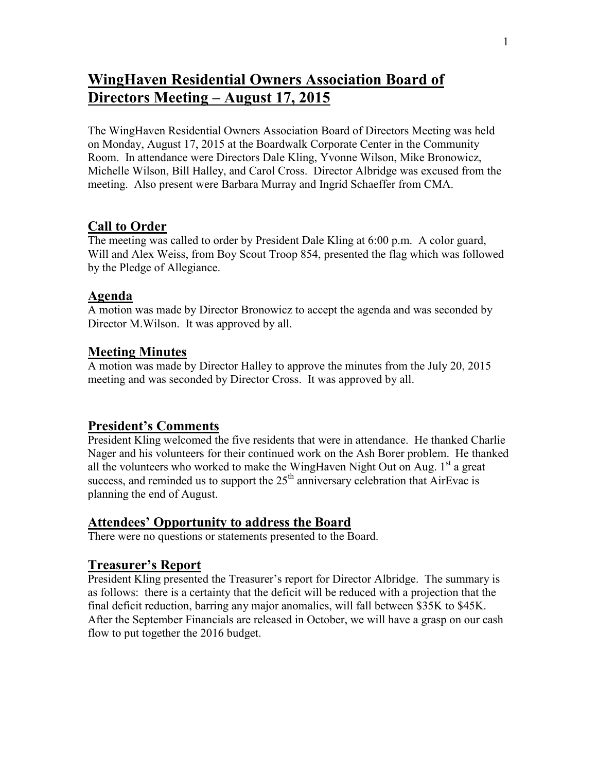# **WingHaven Residential Owners Association Board of Directors Meeting – August 17, 2015**

The WingHaven Residential Owners Association Board of Directors Meeting was held on Monday, August 17, 2015 at the Boardwalk Corporate Center in the Community Room. In attendance were Directors Dale Kling, Yvonne Wilson, Mike Bronowicz, Michelle Wilson, Bill Halley, and Carol Cross. Director Albridge was excused from the meeting. Also present were Barbara Murray and Ingrid Schaeffer from CMA.

# **Call to Order**

The meeting was called to order by President Dale Kling at 6:00 p.m. A color guard, Will and Alex Weiss, from Boy Scout Troop 854, presented the flag which was followed by the Pledge of Allegiance.

#### **Agenda**

A motion was made by Director Bronowicz to accept the agenda and was seconded by Director M.Wilson. It was approved by all.

#### **Meeting Minutes**

A motion was made by Director Halley to approve the minutes from the July 20, 2015 meeting and was seconded by Director Cross. It was approved by all.

#### **President's Comments**

President Kling welcomed the five residents that were in attendance. He thanked Charlie Nager and his volunteers for their continued work on the Ash Borer problem. He thanked all the volunteers who worked to make the WingHaven Night Out on Aug.  $1<sup>st</sup>$  a great success, and reminded us to support the  $25<sup>th</sup>$  anniversary celebration that AirEvac is planning the end of August.

#### **Attendees' Opportunity to address the Board**

There were no questions or statements presented to the Board.

#### **Treasurer's Report**

President Kling presented the Treasurer's report for Director Albridge. The summary is as follows: there is a certainty that the deficit will be reduced with a projection that the final deficit reduction, barring any major anomalies, will fall between \$35K to \$45K. After the September Financials are released in October, we will have a grasp on our cash flow to put together the 2016 budget.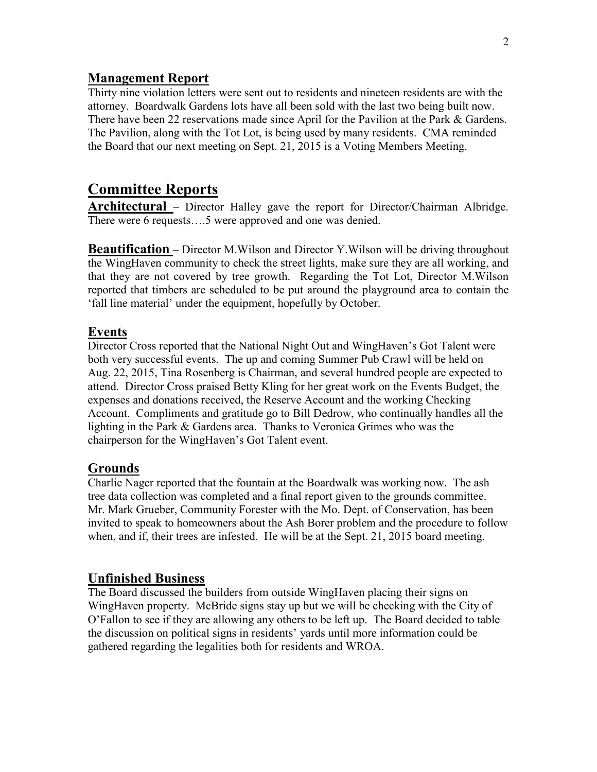#### **Management Report**

Thirty nine violation letters were sent out to residents and nineteen residents are with the attorney. Boardwalk Gardens lots have all been sold with the last two being built now. There have been 22 reservations made since April for the Pavilion at the Park & Gardens. The Pavilion, along with the Tot Lot, is being used by many residents. CMA reminded the Board that our next meeting on Sept. 21, 2015 is a Voting Members Meeting.

# **Committee Reports**

**Architectural** – Director Halley gave the report for Director/Chairman Albridge. There were 6 requests….5 were approved and one was denied.

**Beautification** – Director M.Wilson and Director Y.Wilson will be driving throughout the WingHaven community to check the street lights, make sure they are all working, and that they are not covered by tree growth. Regarding the Tot Lot, Director M.Wilson reported that timbers are scheduled to be put around the playground area to contain the 'fall line material' under the equipment, hopefully by October.

#### **Events**

Director Cross reported that the National Night Out and WingHaven's Got Talent were both very successful events. The up and coming Summer Pub Crawl will be held on Aug. 22, 2015, Tina Rosenberg is Chairman, and several hundred people are expected to attend. Director Cross praised Betty Kling for her great work on the Events Budget, the expenses and donations received, the Reserve Account and the working Checking Account. Compliments and gratitude go to Bill Dedrow, who continually handles all the lighting in the Park & Gardens area. Thanks to Veronica Grimes who was the chairperson for the WingHaven's Got Talent event.

# **Grounds**

Charlie Nager reported that the fountain at the Boardwalk was working now. The ash tree data collection was completed and a final report given to the grounds committee. Mr. Mark Grueber, Community Forester with the Mo. Dept. of Conservation, has been invited to speak to homeowners about the Ash Borer problem and the procedure to follow when, and if, their trees are infested. He will be at the Sept. 21, 2015 board meeting.

#### **Unfinished Business**

The Board discussed the builders from outside WingHaven placing their signs on WingHaven property. McBride signs stay up but we will be checking with the City of O'Fallon to see if they are allowing any others to be left up. The Board decided to table the discussion on political signs in residents' yards until more information could be gathered regarding the legalities both for residents and WROA.